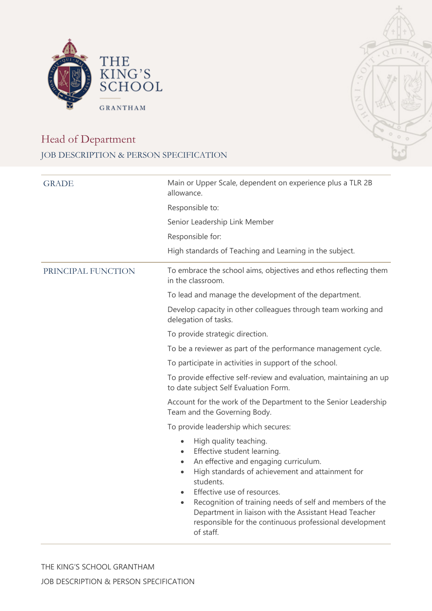



## Head of Department JOB DESCRIPTION & PERSON SPECIFICATION

| Main or Upper Scale, dependent on experience plus a TLR 2B<br>allowance.                                                                                                                                                                                                                                                                                                                                                                        |  |  |
|-------------------------------------------------------------------------------------------------------------------------------------------------------------------------------------------------------------------------------------------------------------------------------------------------------------------------------------------------------------------------------------------------------------------------------------------------|--|--|
| Responsible to:                                                                                                                                                                                                                                                                                                                                                                                                                                 |  |  |
| Senior Leadership Link Member                                                                                                                                                                                                                                                                                                                                                                                                                   |  |  |
| Responsible for:                                                                                                                                                                                                                                                                                                                                                                                                                                |  |  |
| High standards of Teaching and Learning in the subject.                                                                                                                                                                                                                                                                                                                                                                                         |  |  |
| To embrace the school aims, objectives and ethos reflecting them<br>in the classroom.                                                                                                                                                                                                                                                                                                                                                           |  |  |
| To lead and manage the development of the department.                                                                                                                                                                                                                                                                                                                                                                                           |  |  |
| Develop capacity in other colleagues through team working and<br>delegation of tasks.                                                                                                                                                                                                                                                                                                                                                           |  |  |
| To provide strategic direction.                                                                                                                                                                                                                                                                                                                                                                                                                 |  |  |
| To be a reviewer as part of the performance management cycle.                                                                                                                                                                                                                                                                                                                                                                                   |  |  |
| To participate in activities in support of the school.                                                                                                                                                                                                                                                                                                                                                                                          |  |  |
| To provide effective self-review and evaluation, maintaining an up<br>to date subject Self Evaluation Form.                                                                                                                                                                                                                                                                                                                                     |  |  |
| Account for the work of the Department to the Senior Leadership<br>Team and the Governing Body.                                                                                                                                                                                                                                                                                                                                                 |  |  |
| To provide leadership which secures:                                                                                                                                                                                                                                                                                                                                                                                                            |  |  |
| High quality teaching.<br>$\bullet$<br>Effective student learning.<br>$\bullet$<br>An effective and engaging curriculum.<br>$\bullet$<br>High standards of achievement and attainment for<br>$\bullet$<br>students.<br>Effective use of resources.<br>Recognition of training needs of self and members of the<br>Department in liaison with the Assistant Head Teacher<br>responsible for the continuous professional development<br>of staff. |  |  |
|                                                                                                                                                                                                                                                                                                                                                                                                                                                 |  |  |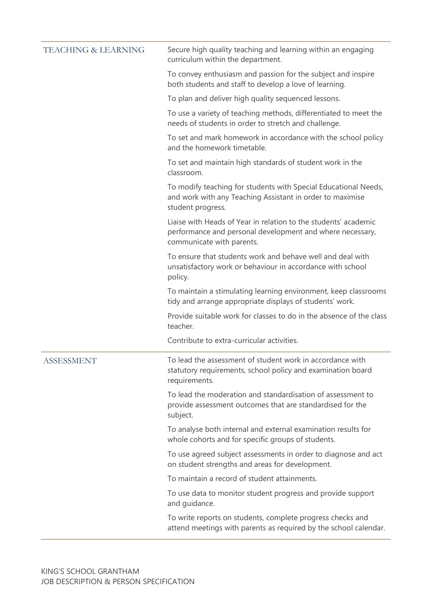| <b>TEACHING &amp; LEARNING</b> | Secure high quality teaching and learning within an engaging<br>curriculum within the department.                                                         |
|--------------------------------|-----------------------------------------------------------------------------------------------------------------------------------------------------------|
|                                | To convey enthusiasm and passion for the subject and inspire<br>both students and staff to develop a love of learning.                                    |
|                                | To plan and deliver high quality sequenced lessons.                                                                                                       |
|                                | To use a variety of teaching methods, differentiated to meet the<br>needs of students in order to stretch and challenge.                                  |
|                                | To set and mark homework in accordance with the school policy<br>and the homework timetable.                                                              |
|                                | To set and maintain high standards of student work in the<br>classroom.                                                                                   |
|                                | To modify teaching for students with Special Educational Needs,<br>and work with any Teaching Assistant in order to maximise<br>student progress.         |
|                                | Liaise with Heads of Year in relation to the students' academic<br>performance and personal development and where necessary,<br>communicate with parents. |
|                                | To ensure that students work and behave well and deal with<br>unsatisfactory work or behaviour in accordance with school<br>policy.                       |
|                                | To maintain a stimulating learning environment, keep classrooms<br>tidy and arrange appropriate displays of students' work.                               |
|                                | Provide suitable work for classes to do in the absence of the class<br>teacher.                                                                           |
|                                | Contribute to extra-curricular activities.                                                                                                                |
| <b>ASSESSMENT</b>              | To lead the assessment of student work in accordance with<br>statutory requirements, school policy and examination board<br>requirements.                 |
|                                | To lead the moderation and standardisation of assessment to<br>provide assessment outcomes that are standardised for the<br>subject.                      |
|                                | To analyse both internal and external examination results for<br>whole cohorts and for specific groups of students.                                       |
|                                | To use agreed subject assessments in order to diagnose and act<br>on student strengths and areas for development.                                         |
|                                | To maintain a record of student attainments.                                                                                                              |
|                                | To use data to monitor student progress and provide support<br>and guidance.                                                                              |
|                                | To write reports on students, complete progress checks and<br>attend meetings with parents as required by the school calendar.                            |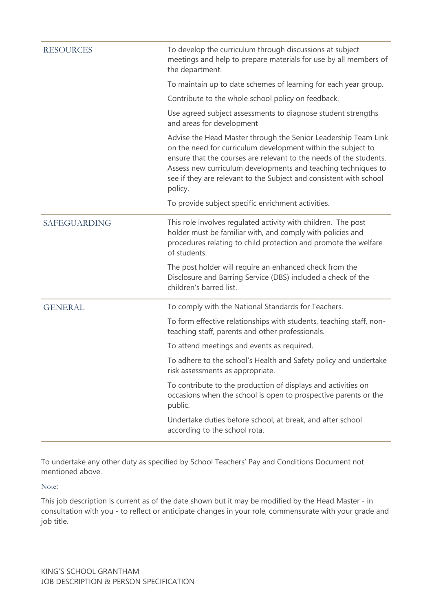| <b>RESOURCES</b>    | To develop the curriculum through discussions at subject<br>meetings and help to prepare materials for use by all members of<br>the department.                                                                                                                                                                                                        |
|---------------------|--------------------------------------------------------------------------------------------------------------------------------------------------------------------------------------------------------------------------------------------------------------------------------------------------------------------------------------------------------|
|                     | To maintain up to date schemes of learning for each year group.                                                                                                                                                                                                                                                                                        |
|                     | Contribute to the whole school policy on feedback.                                                                                                                                                                                                                                                                                                     |
|                     | Use agreed subject assessments to diagnose student strengths<br>and areas for development                                                                                                                                                                                                                                                              |
|                     | Advise the Head Master through the Senior Leadership Team Link<br>on the need for curriculum development within the subject to<br>ensure that the courses are relevant to the needs of the students.<br>Assess new curriculum developments and teaching techniques to<br>see if they are relevant to the Subject and consistent with school<br>policy. |
|                     | To provide subject specific enrichment activities.                                                                                                                                                                                                                                                                                                     |
| <b>SAFEGUARDING</b> | This role involves regulated activity with children. The post<br>holder must be familiar with, and comply with policies and<br>procedures relating to child protection and promote the welfare<br>of students.                                                                                                                                         |
|                     | The post holder will require an enhanced check from the<br>Disclosure and Barring Service (DBS) included a check of the<br>children's barred list.                                                                                                                                                                                                     |
| <b>GENERAL</b>      | To comply with the National Standards for Teachers.                                                                                                                                                                                                                                                                                                    |
|                     | To form effective relationships with students, teaching staff, non-<br>teaching staff, parents and other professionals.                                                                                                                                                                                                                                |
|                     | To attend meetings and events as required.                                                                                                                                                                                                                                                                                                             |
|                     | To adhere to the school's Health and Safety policy and undertake<br>risk assessments as appropriate.                                                                                                                                                                                                                                                   |
|                     | To contribute to the production of displays and activities on<br>occasions when the school is open to prospective parents or the<br>public.                                                                                                                                                                                                            |
|                     | Undertake duties before school, at break, and after school<br>according to the school rota.                                                                                                                                                                                                                                                            |

To undertake any other duty as specified by School Teachers' Pay and Conditions Document not mentioned above.

Note:

This job description is current as of the date shown but it may be modified by the Head Master - in consultation with you - to reflect or anticipate changes in your role, commensurate with your grade and job title.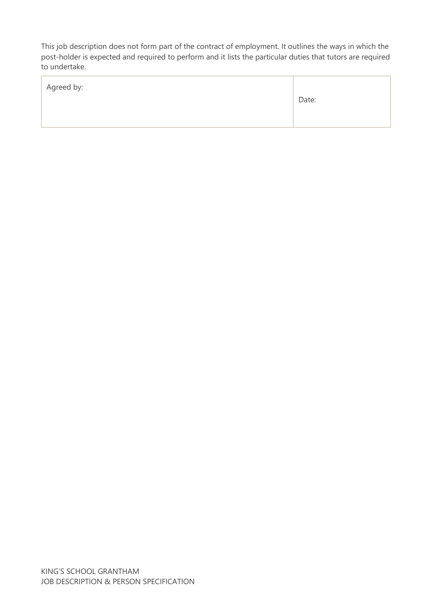This job description does not form part of the contract of employment. It outlines the ways in which the post-holder is expected and required to perform and it lists the particular duties that tutors are required to undertake.

| Agreed by: | Date: |
|------------|-------|
|            |       |